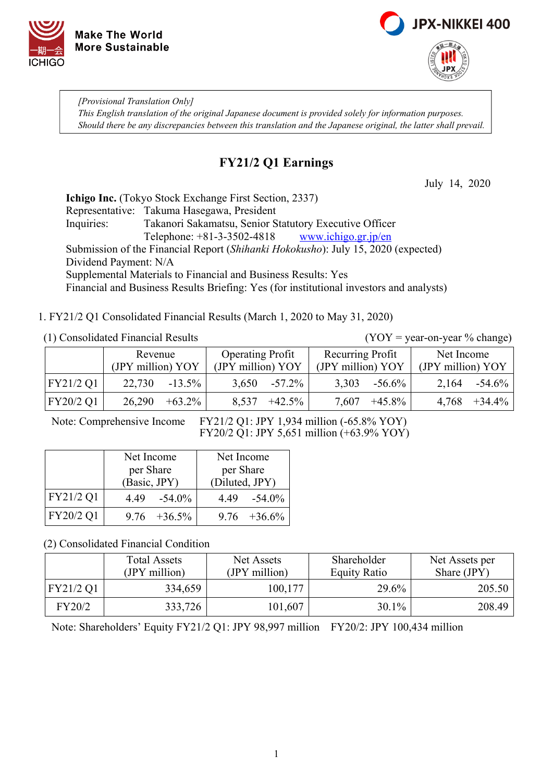



*[Provisional Translation Only] This English translation of the original Japanese document is provided solely for information purposes. Should there be any discrepancies between this translation and the Japanese original, the latter shall prevail.*

### **FY21/2 Q1 Earnings**

July 14, 2020

**Ichigo Inc.** (Tokyo Stock Exchange First Section, 2337) Representative: Takuma Hasegawa, President Inquiries: Takanori Sakamatsu, Senior Statutory Executive Officer Telephone: +81-3-3502-4818 [www.ichigo.gr.jp/en](https://www.ichigo.gr.jp/en) Submission of the Financial Report (*Shihanki Hokokusho*): July 15, 2020 (expected) Dividend Payment: N/A Supplemental Materials to Financial and Business Results: Yes Financial and Business Results Briefing: Yes (for institutional investors and analysts)

1. FY21/2 Q1 Consolidated Financial Results (March 1, 2020 to May 31, 2020)

#### (1) Consolidated Financial Results (YOY = year-on-year % change)

|               | Revenue           |           | <b>Operating Profit</b> |           | Recurring Profit  |           | Net Income        |           |
|---------------|-------------------|-----------|-------------------------|-----------|-------------------|-----------|-------------------|-----------|
|               | (JPY million) YOY |           | (JPY million) YOY       |           | (JPY million) YOY |           | (JPY million) YOY |           |
| $ $ FY21/2 Q1 | 22,730            | $-13.5\%$ | 3,650                   | $-57.2\%$ | 3,303             | $-56.6\%$ | 2,164             | $-54.6\%$ |
| FY20/2 Q1     | 26,290            | $+63.2\%$ | 8,537                   | $+42.5\%$ | 7,607             | $+45.8\%$ | 4,768             | $+34.4\%$ |

Note: Comprehensive Income FY21/2 Q1: JPY 1,934 million (-65.8% YOY) FY20/2 Q1: JPY 5,651 million (+63.9% YOY)

|           | Net Income        | Net Income      |  |  |
|-----------|-------------------|-----------------|--|--|
|           | per Share         | per Share       |  |  |
|           | (Basic, JPY)      | (Diluted, JPY)  |  |  |
| FY21/2 Q1 | $-54.0\%$<br>4.49 | $4.49 -54.0\%$  |  |  |
| FY20/2 Q1 | $9.76 + 36.5\%$   | $9.76 + 36.6\%$ |  |  |

(2) Consolidated Financial Condition

|           | <b>Total Assets</b><br>(JPY million) | Net Assets<br>(JPY million) | Shareholder<br><b>Equity Ratio</b> | Net Assets per<br>Share (JPY) |
|-----------|--------------------------------------|-----------------------------|------------------------------------|-------------------------------|
| FY21/2 Q1 | 334,659                              | 100,177                     | 29.6%                              | 205.50                        |
| FY20/2    | 333,726                              | 101,607                     | $30.1\%$                           | 208.49                        |

Note: Shareholders' Equity FY21/2 Q1: JPY 98,997 million FY20/2: JPY 100,434 million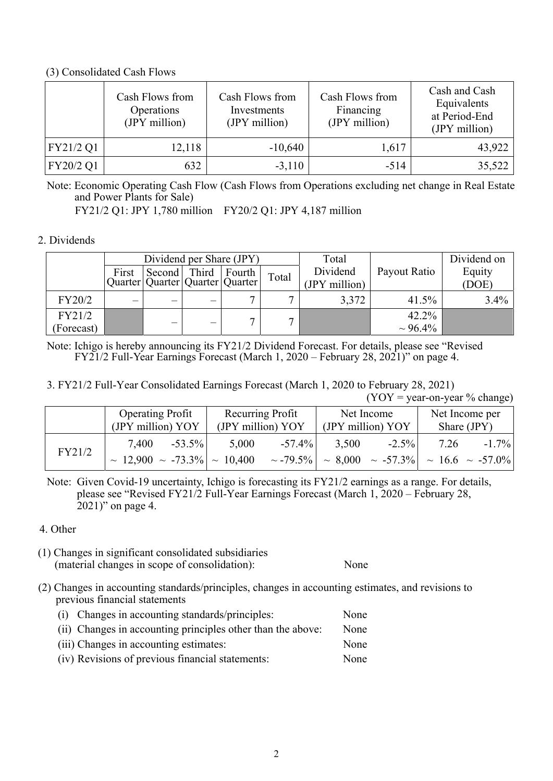### (3) Consolidated Cash Flows

|           | Cash Flows from<br>Operations<br>(JPY million) | Cash Flows from<br>Investments<br>(JPY million) | Cash Flows from<br>Financing<br>(JPY million) | Cash and Cash<br>Equivalents<br>at Period-End<br>(JPY million) |
|-----------|------------------------------------------------|-------------------------------------------------|-----------------------------------------------|----------------------------------------------------------------|
| FY21/2 Q1 | 12,118                                         | $-10,640$                                       | 1,617                                         | 43,922                                                         |
| FY20/2 Q1 | 632                                            | $-3,110$                                        | $-514$                                        | 35,522                                                         |

Note: Economic Operating Cash Flow (Cash Flows from Operations excluding net change in Real Estate and Power Plants for Sale)

FY21/2 Q1: JPY 1,780 million FY20/2 Q1: JPY 4,187 million

#### 2. Dividends

| Dividend per Share (JPY) |                                 |        |       | Total  |       | Dividend on   |               |         |
|--------------------------|---------------------------------|--------|-------|--------|-------|---------------|---------------|---------|
|                          | First                           | Second | Third | Fourth | Total | Dividend      | Payout Ratio  | Equity  |
|                          | Quarter Quarter Quarter Quarter |        |       |        |       | (JPY million) |               | (DOE)   |
| FY20/2                   |                                 |        |       |        |       | 3,372         | 41.5%         | $3.4\%$ |
| FY21/2                   |                                 |        |       |        |       |               | 42.2%         |         |
| (Forecast)               |                                 | –      |       |        |       |               | $\sim 96.4\%$ |         |

Note: Ichigo is hereby announcing its FY21/2 Dividend Forecast. For details, please see "Revised FY21/2 Full-Year Earnings Forecast (March 1, 2020 – February 28, 2021)" on page 4.

3. FY21/2 Full-Year Consolidated Earnings Forecast (March 1, 2020 to February 28, 2021)

 $(YOY = year-on-year % change)$ 

|        | <b>Operating Profit</b>                                         | Recurring Profit                    | Net Income                                                              | Net Income per   |
|--------|-----------------------------------------------------------------|-------------------------------------|-------------------------------------------------------------------------|------------------|
|        | (JPY million) YOY                                               | (JPY million) YOY                   | (JPY million) YOY                                                       | Share $(JPY)$    |
| FY21/2 | 7,400<br>$-53.5\%$<br>$\sim$ 12,900 $\sim$ -73.3% $\sim$ 10,400 | $-57.4\%$<br>5,000<br>$\sim$ -79.5% | $-2.5\%$<br>3,500<br>$\sim 8,000 \sim -57.3\%$ $\sim 16.6 \sim -57.0\%$ | $-1.7\%$<br>7.26 |

Note: Given Covid-19 uncertainty, Ichigo is forecasting its FY21/2 earnings as a range. For details, please see "Revised FY21/2 Full-Year Earnings Forecast (March 1, 2020 – February 28, 2021)" on page 4.

- 4. Other
- (1) Changes in significant consolidated subsidiaries (material changes in scope of consolidation): None

- (2) Changes in accounting standards/principles, changes in accounting estimates, and revisions to previous financial statements
	- (i) Changes in accounting standards/principles: None (ii) Changes in accounting principles other than the above: None (iii) Changes in accounting estimates: None
	- (iv) Revisions of previous financial statements: None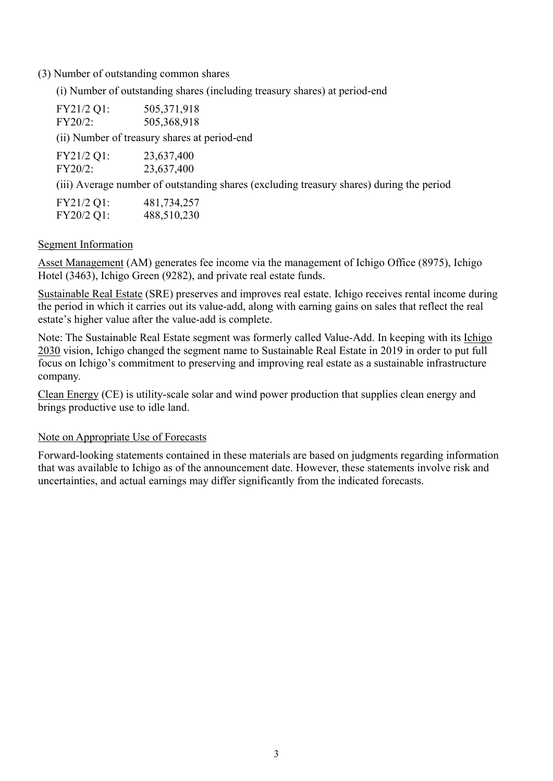(3) Number of outstanding common shares

(i) Number of outstanding shares (including treasury shares) at period-end

| FY21/2 Q1:<br>$FY20/2$ : | 505,371,918<br>505,368,918                                                               |
|--------------------------|------------------------------------------------------------------------------------------|
|                          | (ii) Number of treasury shares at period-end                                             |
| FY21/2 Q1:<br>$FY20/2$ : | 23,637,400<br>23,637,400                                                                 |
|                          | (iii) Average number of outstanding shares (excluding treasury shares) during the period |
| $FY21/2$ $\Omega$ 1.     | 481 734 257                                                                              |

| $\Gamma$ I $\angle$ I/ $\angle$ Q1. | 401, 734, 237 |
|-------------------------------------|---------------|
| FY20/2 Q1:                          | 488,510,230   |

### Segment Information

Asset Management (AM) generates fee income via the management of Ichigo Office (8975), Ichigo Hotel (3463), Ichigo Green (9282), and private real estate funds.

Sustainable Real Estate (SRE) preserves and improves real estate. Ichigo receives rental income during the period in which it carries out its value-add, along with earning gains on sales that reflect the real estate's higher value after the value-add is complete.

Note: The Sustainable Real Estate segment was formerly called Value-Add. In keeping with its Ichigo 2030 vision, Ichigo changed the segment name to Sustainable Real Estate in 2019 in order to put full focus on Ichigo's commitment to preserving and improving real estate as a sustainable infrastructure company.

Clean Energy (CE) is utility-scale solar and wind power production that supplies clean energy and brings productive use to idle land.

### Note on Appropriate Use of Forecasts

Forward-looking statements contained in these materials are based on judgments regarding information that was available to Ichigo as of the announcement date. However, these statements involve risk and uncertainties, and actual earnings may differ significantly from the indicated forecasts.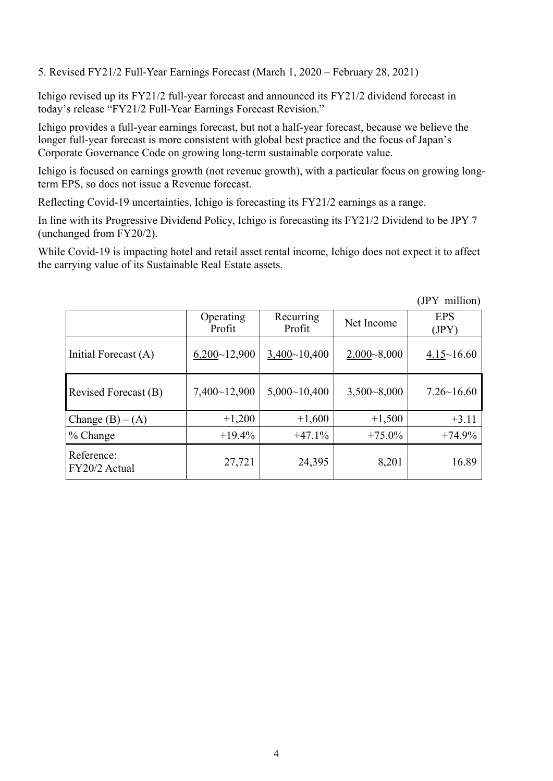5. Revised FY21/2 Full-Year Earnings Forecast (March 1, 2020 – February 28, 2021)

Ichigo revised up its FY21/2 full-year forecast and announced its FY21/2 dividend forecast in today's release "FY21/2 Full-Year Earnings Forecast Revision."

Ichigo provides a full-year earnings forecast, but not a half-year forecast, because we believe the longer full-year forecast is more consistent with global best practice and the focus of Japan's Corporate Governance Code on growing long-term sustainable corporate value.

Ichigo is focused on earnings growth (not revenue growth), with a particular focus on growing longterm EPS, so does not issue a Revenue forecast.

Reflecting Covid-19 uncertainties, Ichigo is forecasting its FY21/2 earnings as a range.

In line with its Progressive Dividend Policy, Ichigo is forecasting its FY21/2 Dividend to be JPY 7 (unchanged from FY20/2).

While Covid-19 is impacting hotel and retail asset rental income, Ichigo does not expect it to affect the carrying value of its Sustainable Real Estate assets.

|                             | Operating<br>Profit | Recurring<br>Profit | Net Income      | <b>EPS</b><br>(JPY) |
|-----------------------------|---------------------|---------------------|-----------------|---------------------|
| Initial Forecast (A)        | 6,200~12,900        | 3,400~10,400        | $2,000 - 8,000$ | $4.15 \sim 16.60$   |
| Revised Forecast (B)        | 7,400~12,900        | 5,000~10,400        | $3,500 - 8,000$ | $7.26 \times 16.60$ |
| Change $(B) - (A)$          | $+1,200$            | $+1,600$            | $+1,500$        | $+3.11$             |
| $%$ Change                  | $+19.4%$            | $+47.1%$            | $+75.0\%$       | $+74.9%$            |
| Reference:<br>FY20/2 Actual | 27,721              | 24,395              | 8,201           | 16.89               |

(JPY million)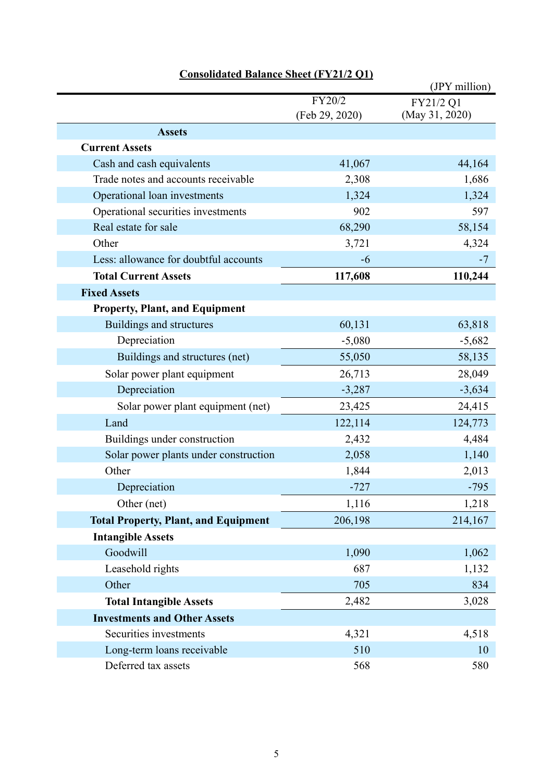|                                             |                | (JPY million)  |
|---------------------------------------------|----------------|----------------|
|                                             | FY20/2         | FY21/2 Q1      |
|                                             | (Feb 29, 2020) | (May 31, 2020) |
| <b>Assets</b>                               |                |                |
| <b>Current Assets</b>                       |                |                |
| Cash and cash equivalents                   | 41,067         | 44,164         |
| Trade notes and accounts receivable         | 2,308          | 1,686          |
| Operational loan investments                | 1,324          | 1,324          |
| Operational securities investments          | 902            | 597            |
| Real estate for sale                        | 68,290         | 58,154         |
| Other                                       | 3,721          | 4,324          |
| Less: allowance for doubtful accounts       | -6             | $-7$           |
| <b>Total Current Assets</b>                 | 117,608        | 110,244        |
| <b>Fixed Assets</b>                         |                |                |
| <b>Property, Plant, and Equipment</b>       |                |                |
| Buildings and structures                    | 60,131         | 63,818         |
| Depreciation                                | $-5,080$       | $-5,682$       |
| Buildings and structures (net)              | 55,050         | 58,135         |
| Solar power plant equipment                 | 26,713         | 28,049         |
| Depreciation                                | $-3,287$       | $-3,634$       |
| Solar power plant equipment (net)           | 23,425         | 24,415         |
| Land                                        | 122,114        | 124,773        |
| Buildings under construction                | 2,432          | 4,484          |
| Solar power plants under construction       | 2,058          | 1,140          |
| Other                                       | 1,844          | 2,013          |
| Depreciation                                | $-727$         | $-795$         |
| Other (net)                                 | 1,116          | 1,218          |
| <b>Total Property, Plant, and Equipment</b> | 206,198        | 214,167        |
| <b>Intangible Assets</b>                    |                |                |
| Goodwill                                    | 1,090          | 1,062          |
| Leasehold rights                            | 687            | 1,132          |
| Other                                       | 705            | 834            |
| <b>Total Intangible Assets</b>              | 2,482          | 3,028          |
| <b>Investments and Other Assets</b>         |                |                |
| Securities investments                      | 4,321          | 4,518          |
| Long-term loans receivable                  | 510            | 10             |
| Deferred tax assets                         | 568            | 580            |

# **Consolidated Balance Sheet (FY21/2 Q1)**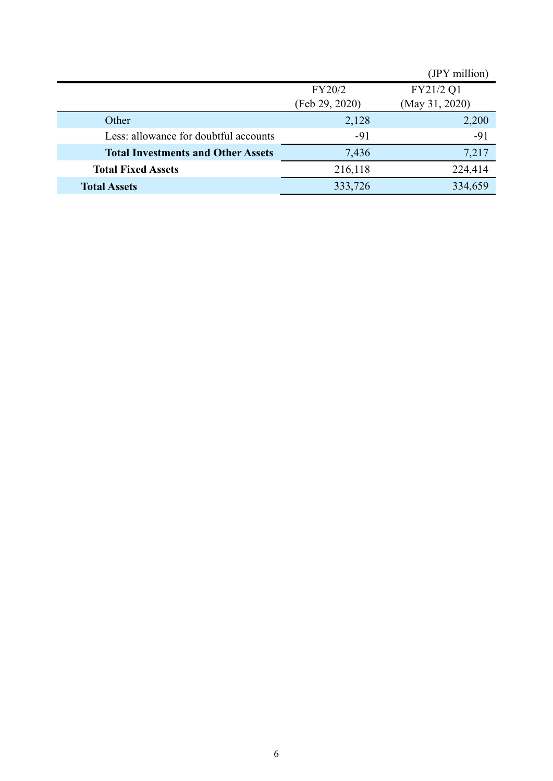|                                           |                | (JPY million)  |
|-------------------------------------------|----------------|----------------|
|                                           | FY20/2         | FY21/2 Q1      |
|                                           | (Feb 29, 2020) | (May 31, 2020) |
| Other                                     | 2,128          | 2,200          |
| Less: allowance for doubtful accounts     | $-91$          | $-91$          |
| <b>Total Investments and Other Assets</b> | 7,436          | 7,217          |
| <b>Total Fixed Assets</b>                 | 216,118        | 224,414        |
| <b>Total Assets</b>                       | 333,726        | 334,659        |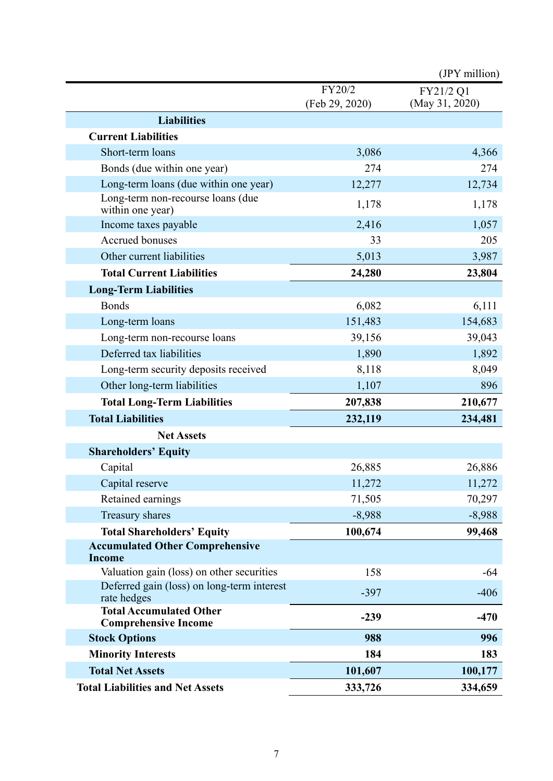|                                                               |                          | (JPY million)               |
|---------------------------------------------------------------|--------------------------|-----------------------------|
|                                                               | FY20/2<br>(Feb 29, 2020) | FY21/2 Q1<br>(May 31, 2020) |
| <b>Liabilities</b>                                            |                          |                             |
| <b>Current Liabilities</b>                                    |                          |                             |
| Short-term loans                                              | 3,086                    | 4,366                       |
| Bonds (due within one year)                                   | 274                      | 274                         |
| Long-term loans (due within one year)                         | 12,277                   | 12,734                      |
| Long-term non-recourse loans (due<br>within one year)         | 1,178                    | 1,178                       |
| Income taxes payable                                          | 2,416                    | 1,057                       |
| Accrued bonuses                                               | 33                       | 205                         |
| Other current liabilities                                     | 5,013                    | 3,987                       |
| <b>Total Current Liabilities</b>                              | 24,280                   | 23,804                      |
| <b>Long-Term Liabilities</b>                                  |                          |                             |
| <b>Bonds</b>                                                  | 6,082                    | 6,111                       |
| Long-term loans                                               | 151,483                  | 154,683                     |
| Long-term non-recourse loans                                  | 39,156                   | 39,043                      |
| Deferred tax liabilities                                      | 1,890                    | 1,892                       |
| Long-term security deposits received                          | 8,118                    | 8,049                       |
| Other long-term liabilities                                   | 1,107                    | 896                         |
| <b>Total Long-Term Liabilities</b>                            | 207,838                  | 210,677                     |
| <b>Total Liabilities</b>                                      | 232,119                  | 234,481                     |
| <b>Net Assets</b>                                             |                          |                             |
| <b>Shareholders' Equity</b>                                   |                          |                             |
| Capital                                                       | 26,885                   | 26,886                      |
| Capital reserve                                               | 11,272                   | 11,272                      |
| Retained earnings                                             | 71,505                   | 70,297                      |
| Treasury shares                                               | $-8,988$                 | $-8,988$                    |
| <b>Total Shareholders' Equity</b>                             | 100,674                  | 99,468                      |
| <b>Accumulated Other Comprehensive</b><br><b>Income</b>       |                          |                             |
| Valuation gain (loss) on other securities                     | 158                      | $-64$                       |
| Deferred gain (loss) on long-term interest<br>rate hedges     | $-397$                   | $-406$                      |
| <b>Total Accumulated Other</b><br><b>Comprehensive Income</b> | $-239$                   | $-470$                      |
| <b>Stock Options</b>                                          | 988                      | 996                         |
| <b>Minority Interests</b>                                     | 184                      | 183                         |
| <b>Total Net Assets</b>                                       | 101,607                  | 100,177                     |
| <b>Total Liabilities and Net Assets</b>                       | 333,726                  | 334,659                     |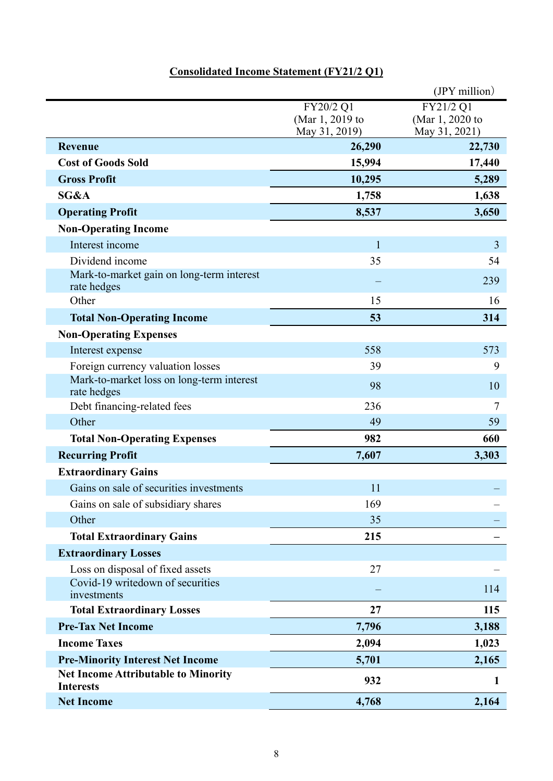## **Consolidated Income Statement (FY21/2 Q1)**

|                                                                |                                               | $(IPY$ million)                               |
|----------------------------------------------------------------|-----------------------------------------------|-----------------------------------------------|
|                                                                | FY20/2 Q1<br>(Mar 1, 2019 to<br>May 31, 2019) | FY21/2 Q1<br>(Mar 1, 2020 to<br>May 31, 2021) |
| <b>Revenue</b>                                                 | 26,290                                        | 22,730                                        |
| <b>Cost of Goods Sold</b>                                      | 15,994                                        | 17,440                                        |
| <b>Gross Profit</b>                                            | 10,295                                        | 5,289                                         |
| SG&A                                                           | 1,758                                         | 1,638                                         |
| <b>Operating Profit</b>                                        | 8,537                                         | 3,650                                         |
| <b>Non-Operating Income</b>                                    |                                               |                                               |
| Interest income                                                | $\mathbf{1}$                                  | 3                                             |
| Dividend income                                                | 35                                            | 54                                            |
| Mark-to-market gain on long-term interest<br>rate hedges       |                                               | 239                                           |
| Other                                                          | 15                                            | 16                                            |
| <b>Total Non-Operating Income</b>                              | 53                                            | 314                                           |
| <b>Non-Operating Expenses</b>                                  |                                               |                                               |
| Interest expense                                               | 558                                           | 573                                           |
| Foreign currency valuation losses                              | 39                                            | 9                                             |
| Mark-to-market loss on long-term interest<br>rate hedges       | 98                                            | 10                                            |
| Debt financing-related fees                                    | 236                                           | 7                                             |
| Other                                                          | 49                                            | 59                                            |
| <b>Total Non-Operating Expenses</b>                            | 982                                           | 660                                           |
| <b>Recurring Profit</b>                                        | 7,607                                         | 3,303                                         |
| <b>Extraordinary Gains</b>                                     |                                               |                                               |
| Gains on sale of securities investments                        | 11                                            |                                               |
| Gains on sale of subsidiary shares                             | 169                                           |                                               |
| Other                                                          | 35                                            |                                               |
| <b>Total Extraordinary Gains</b>                               | 215                                           |                                               |
| <b>Extraordinary Losses</b>                                    |                                               |                                               |
| Loss on disposal of fixed assets                               | 27                                            |                                               |
| Covid-19 writedown of securities<br>investments                |                                               | 114                                           |
| <b>Total Extraordinary Losses</b>                              | 27                                            | 115                                           |
| <b>Pre-Tax Net Income</b>                                      | 7,796                                         | 3,188                                         |
| <b>Income Taxes</b>                                            | 2,094                                         | 1,023                                         |
| <b>Pre-Minority Interest Net Income</b>                        | 5,701                                         | 2,165                                         |
| <b>Net Income Attributable to Minority</b><br><b>Interests</b> | 932                                           | 1                                             |
| <b>Net Income</b>                                              | 4,768                                         | 2,164                                         |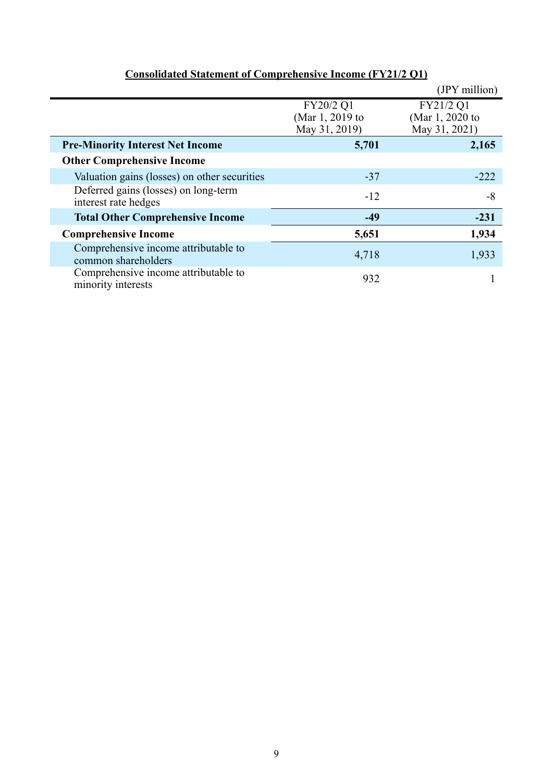|                                                              |                                               | (JPY million)                                 |
|--------------------------------------------------------------|-----------------------------------------------|-----------------------------------------------|
|                                                              | FY20/2 Q1<br>(Mar 1, 2019 to<br>May 31, 2019) | FY21/2 Q1<br>(Mar 1, 2020 to<br>May 31, 2021) |
| <b>Pre-Minority Interest Net Income</b>                      | 5,701                                         | 2,165                                         |
| <b>Other Comprehensive Income</b>                            |                                               |                                               |
| Valuation gains (losses) on other securities                 | $-37$                                         | $-222$                                        |
| Deferred gains (losses) on long-term<br>interest rate hedges | $-12$                                         | $-8$                                          |
| <b>Total Other Comprehensive Income</b>                      | $-49$                                         | $-231$                                        |
| <b>Comprehensive Income</b>                                  | 5,651                                         | 1,934                                         |
| Comprehensive income attributable to<br>common shareholders  | 4,718                                         | 1,933                                         |
| Comprehensive income attributable to<br>minority interests   | 932                                           |                                               |

## **Consolidated Statement of Comprehensive Income (FY21/2 Q1)**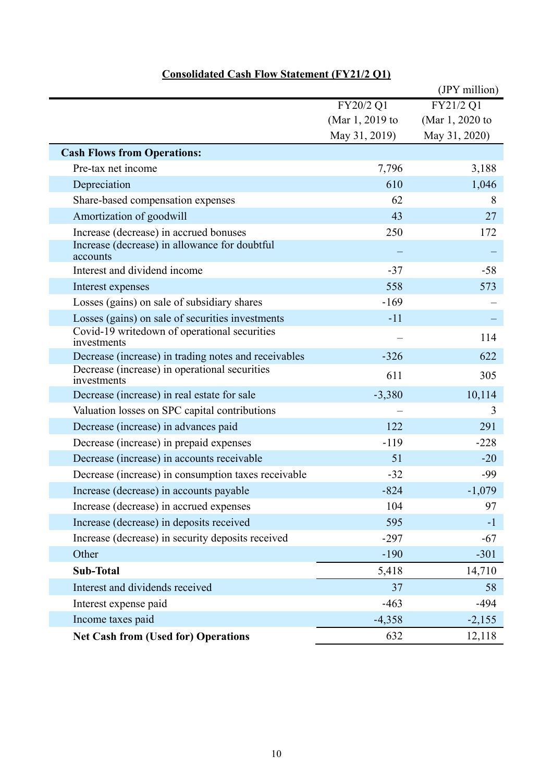|                                                              |                 | (JPY million)   |
|--------------------------------------------------------------|-----------------|-----------------|
|                                                              | FY20/2 Q1       | FY21/2 Q1       |
|                                                              | (Mar 1, 2019 to | (Mar 1, 2020 to |
|                                                              | May 31, 2019)   | May 31, 2020)   |
| <b>Cash Flows from Operations:</b>                           |                 |                 |
| Pre-tax net income                                           | 7,796           | 3,188           |
| Depreciation                                                 | 610             | 1,046           |
| Share-based compensation expenses                            | 62              | 8               |
| Amortization of goodwill                                     | 43              | 27              |
| Increase (decrease) in accrued bonuses                       | 250             | 172             |
| Increase (decrease) in allowance for doubtful<br>accounts    |                 |                 |
| Interest and dividend income                                 | $-37$           | $-58$           |
| Interest expenses                                            | 558             | 573             |
| Losses (gains) on sale of subsidiary shares                  | $-169$          |                 |
| Losses (gains) on sale of securities investments             | $-11$           |                 |
| Covid-19 writedown of operational securities<br>investments  |                 | 114             |
| Decrease (increase) in trading notes and receivables         | $-326$          | 622             |
| Decrease (increase) in operational securities<br>investments | 611             | 305             |
| Decrease (increase) in real estate for sale                  | $-3,380$        | 10,114          |
| Valuation losses on SPC capital contributions                |                 | 3               |
| Decrease (increase) in advances paid                         | 122             | 291             |
| Decrease (increase) in prepaid expenses                      | $-119$          | $-228$          |
| Decrease (increase) in accounts receivable                   | 51              | $-20$           |
| Decrease (increase) in consumption taxes receivable          | $-32$           | -99             |
| Increase (decrease) in accounts payable                      | $-824$          | $-1,079$        |
| Increase (decrease) in accrued expenses                      | 104             | 97              |
| Increase (decrease) in deposits received                     | 595             | $-1$            |
| Increase (decrease) in security deposits received            | $-297$          | $-67$           |
| Other                                                        | $-190$          | $-301$          |
| <b>Sub-Total</b>                                             | 5,418           | 14,710          |
| Interest and dividends received                              | 37              | 58              |
| Interest expense paid                                        | $-463$          | $-494$          |
| Income taxes paid                                            | $-4,358$        | $-2,155$        |
| <b>Net Cash from (Used for) Operations</b>                   | 632             | 12,118          |

### **Consolidated Cash Flow Statement (FY21/2 Q1)**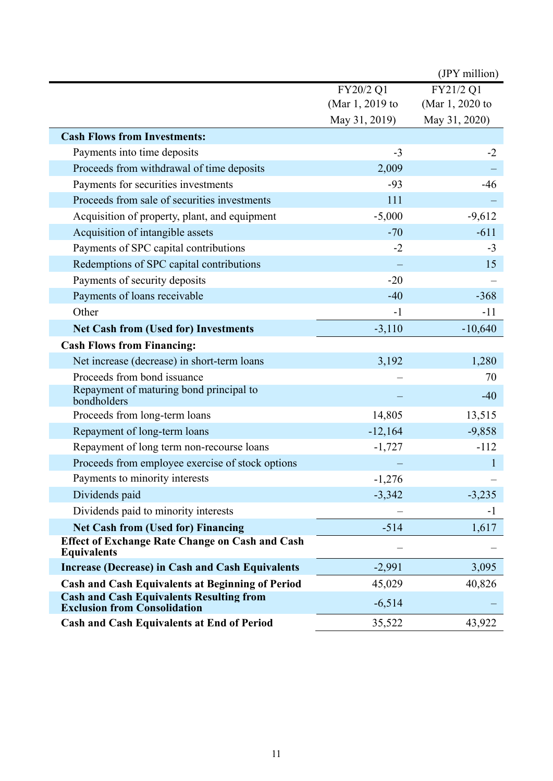|                                                                                        |                 | (JPY million)   |
|----------------------------------------------------------------------------------------|-----------------|-----------------|
|                                                                                        | FY20/2 Q1       | FY21/2 Q1       |
|                                                                                        | (Mar 1, 2019 to | (Mar 1, 2020 to |
|                                                                                        | May 31, 2019)   | May 31, 2020)   |
| <b>Cash Flows from Investments:</b>                                                    |                 |                 |
| Payments into time deposits                                                            | $-3$            | $-2$            |
| Proceeds from withdrawal of time deposits                                              | 2,009           |                 |
| Payments for securities investments                                                    | $-93$           | $-46$           |
| Proceeds from sale of securities investments                                           | 111             |                 |
| Acquisition of property, plant, and equipment                                          | $-5,000$        | $-9,612$        |
| Acquisition of intangible assets                                                       | $-70$           | $-611$          |
| Payments of SPC capital contributions                                                  | $-2$            | $-3$            |
| Redemptions of SPC capital contributions                                               |                 | 15              |
| Payments of security deposits                                                          | $-20$           |                 |
| Payments of loans receivable                                                           | $-40$           | $-368$          |
| Other                                                                                  | $-1$            | $-11$           |
| <b>Net Cash from (Used for) Investments</b>                                            | $-3,110$        | $-10,640$       |
| <b>Cash Flows from Financing:</b>                                                      |                 |                 |
| Net increase (decrease) in short-term loans                                            | 3,192           | 1,280           |
| Proceeds from bond issuance                                                            |                 | 70              |
| Repayment of maturing bond principal to<br>bondholders                                 |                 | $-40$           |
| Proceeds from long-term loans                                                          | 14,805          | 13,515          |
| Repayment of long-term loans                                                           | $-12,164$       | $-9,858$        |
| Repayment of long term non-recourse loans                                              | $-1,727$        | $-112$          |
| Proceeds from employee exercise of stock options                                       |                 |                 |
| Payments to minority interests                                                         | $-1,276$        |                 |
| Dividends paid                                                                         | $-3,342$        | $-3,235$        |
| Dividends paid to minority interests                                                   |                 | $-1$            |
| <b>Net Cash from (Used for) Financing</b>                                              | $-514$          | 1,617           |
| <b>Effect of Exchange Rate Change on Cash and Cash</b><br><b>Equivalents</b>           |                 |                 |
| <b>Increase (Decrease) in Cash and Cash Equivalents</b>                                | $-2,991$        | 3,095           |
| <b>Cash and Cash Equivalents at Beginning of Period</b>                                | 45,029          | 40,826          |
| <b>Cash and Cash Equivalents Resulting from</b><br><b>Exclusion from Consolidation</b> | $-6,514$        |                 |
| <b>Cash and Cash Equivalents at End of Period</b>                                      | 35,522          | 43,922          |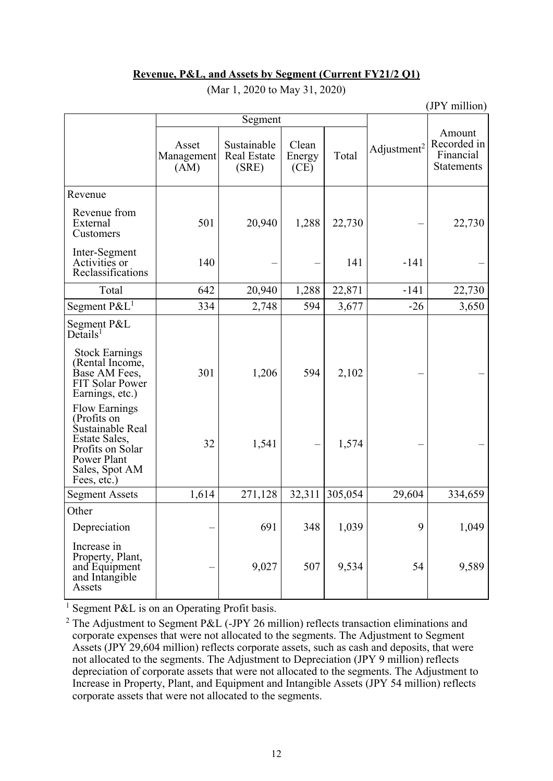### **Revenue, P&L, and Assets by Segment (Current FY21/2 Q1)**

|                                                                                                                                                                 |                             |                                            |                         |         | (JPY million)           |                                                         |
|-----------------------------------------------------------------------------------------------------------------------------------------------------------------|-----------------------------|--------------------------------------------|-------------------------|---------|-------------------------|---------------------------------------------------------|
|                                                                                                                                                                 | Segment                     |                                            |                         |         |                         |                                                         |
|                                                                                                                                                                 | Asset<br>Management<br>(AM) | Sustainable<br><b>Real Estate</b><br>(SRE) | Clean<br>Energy<br>(CE) | Total   | Adjustment <sup>2</sup> | Amount<br>Recorded in<br>Financial<br><b>Statements</b> |
| Revenue                                                                                                                                                         |                             |                                            |                         |         |                         |                                                         |
| Revenue from<br>External<br>Customers                                                                                                                           | 501                         | 20,940                                     | 1,288                   | 22,730  |                         | 22,730                                                  |
| Inter-Segment<br>Activities or<br>Reclassifications                                                                                                             | 140                         |                                            |                         | 141     | $-141$                  |                                                         |
| Total                                                                                                                                                           | 642                         | 20,940                                     | 1,288                   | 22,871  | $-141$                  | 22,730                                                  |
| Segment $P\&L^1$                                                                                                                                                | 334                         | 2,748                                      | 594                     | 3,677   | $-26$                   | 3,650                                                   |
| Segment P&L<br>$De$ tails <sup>1</sup><br><b>Stock Earnings</b><br>(Rental Income,<br>Base AM Fees,<br><b>FIT Solar Power</b>                                   | 301                         | 1,206                                      | 594                     | 2,102   |                         |                                                         |
| Earnings, etc.)<br><b>Flow Earnings</b><br>(Profits on<br>Sustainable Real<br>Estate Sales,<br>Profits on Solar<br>Power Plant<br>Sales, Spot AM<br>Fees, etc.) | 32                          | 1,541                                      |                         | 1,574   |                         |                                                         |
| <b>Segment Assets</b>                                                                                                                                           | 1,614                       | 271,128                                    | 32,311                  | 305,054 | 29,604                  | 334,659                                                 |
| Other                                                                                                                                                           |                             |                                            |                         |         |                         |                                                         |
| Depreciation                                                                                                                                                    |                             | 691                                        | 348                     | 1,039   | 9                       | 1,049                                                   |
| Increase in<br>Property, Plant,<br>and Equipment<br>and Intangible<br>Assets                                                                                    |                             | 9,027                                      | 507                     | 9,534   | 54                      | 9,589                                                   |

(Mar 1, 2020 to May 31, 2020)

<sup>1</sup> Segment P&L is on an Operating Profit basis.

<sup>2</sup> The Adjustment to Segment P&L (-JPY 26 million) reflects transaction eliminations and corporate expenses that were not allocated to the segments. The Adjustment to Segment Assets (JPY 29,604 million) reflects corporate assets, such as cash and deposits, that were not allocated to the segments. The Adjustment to Depreciation (JPY 9 million) reflects depreciation of corporate assets that were not allocated to the segments. The Adjustment to Increase in Property, Plant, and Equipment and Intangible Assets (JPY 54 million) reflects corporate assets that were not allocated to the segments.